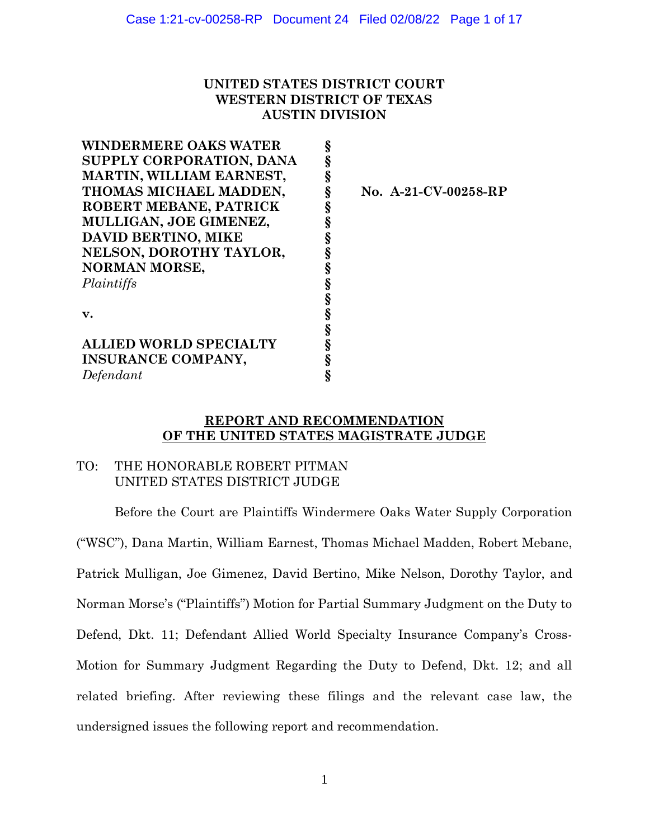# **UNITED STATES DISTRICT COURT WESTERN DISTRICT OF TEXAS AUSTIN DIVISION**

| <b>WINDERMERE OAKS WATER</b>  | Ş |
|-------------------------------|---|
| SUPPLY CORPORATION, DANA      |   |
| MARTIN, WILLIAM EARNEST,      | § |
| THOMAS MICHAEL MADDEN,        | § |
| ROBERT MEBANE, PATRICK        | § |
| MULLIGAN, JOE GIMENEZ,        | § |
| <b>DAVID BERTINO, MIKE</b>    |   |
| NELSON, DOROTHY TAYLOR,       | Ş |
| <b>NORMAN MORSE,</b>          | § |
| Plaintiffs                    | § |
|                               | § |
| v.                            | § |
|                               | § |
| <b>ALLIED WORLD SPECIALTY</b> | § |
| <b>INSURANCE COMPANY,</b>     |   |
| Defendant                     |   |
|                               |   |

 **No. A-21-CV-00258-RP**

## **REPORT AND RECOMMENDATION OF THE UNITED STATES MAGISTRATE JUDGE**

# TO: THE HONORABLE ROBERT PITMAN UNITED STATES DISTRICT JUDGE

Before the Court are Plaintiffs Windermere Oaks Water Supply Corporation ("WSC"), Dana Martin, William Earnest, Thomas Michael Madden, Robert Mebane, Patrick Mulligan, Joe Gimenez, David Bertino, Mike Nelson, Dorothy Taylor, and Norman Morse's ("Plaintiffs") Motion for Partial Summary Judgment on the Duty to Defend, Dkt. 11; Defendant Allied World Specialty Insurance Company's Cross-Motion for Summary Judgment Regarding the Duty to Defend, Dkt. 12; and all related briefing. After reviewing these filings and the relevant case law, the undersigned issues the following report and recommendation.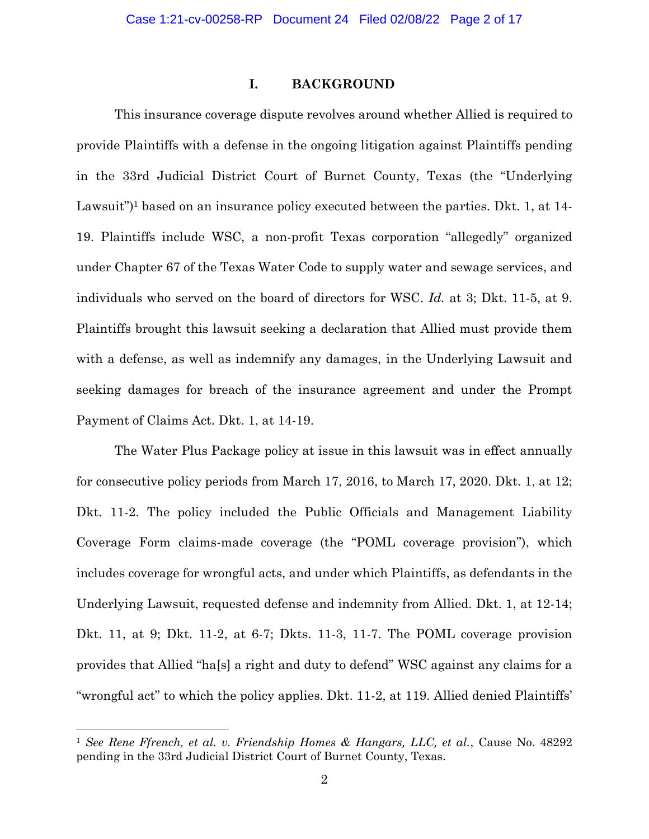## **I. BACKGROUND**

This insurance coverage dispute revolves around whether Allied is required to provide Plaintiffs with a defense in the ongoing litigation against Plaintiffs pending in the 33rd Judicial District Court of Burnet County, Texas (the "Underlying Lawsuit")<sup>1</sup> based on an insurance policy executed between the parties. Dkt. 1, at  $14$ -19. Plaintiffs include WSC, a non-profit Texas corporation "allegedly" organized under Chapter 67 of the Texas Water Code to supply water and sewage services, and individuals who served on the board of directors for WSC. *Id.* at 3; Dkt. 11-5, at 9. Plaintiffs brought this lawsuit seeking a declaration that Allied must provide them with a defense, as well as indemnify any damages, in the Underlying Lawsuit and seeking damages for breach of the insurance agreement and under the Prompt Payment of Claims Act. Dkt. 1, at 14-19.

The Water Plus Package policy at issue in this lawsuit was in effect annually for consecutive policy periods from March 17, 2016, to March 17, 2020. Dkt. 1, at 12; Dkt. 11-2. The policy included the Public Officials and Management Liability Coverage Form claims-made coverage (the "POML coverage provision"), which includes coverage for wrongful acts, and under which Plaintiffs, as defendants in the Underlying Lawsuit, requested defense and indemnity from Allied. Dkt. 1, at 12-14; Dkt. 11, at 9; Dkt. 11-2, at 6-7; Dkts. 11-3, 11-7. The POML coverage provision provides that Allied "ha[s] a right and duty to defend" WSC against any claims for a "wrongful act" to which the policy applies. Dkt. 11-2, at 119. Allied denied Plaintiffs'

<sup>1</sup> *See Rene Ffrench, et al. v. Friendship Homes & Hangars, LLC, et al.*, Cause No. 48292 pending in the 33rd Judicial District Court of Burnet County, Texas.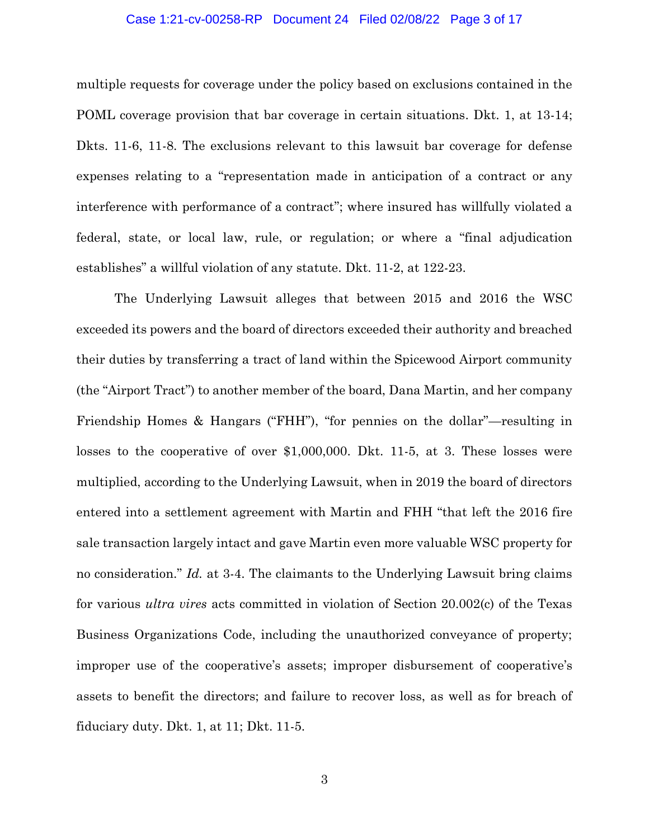#### Case 1:21-cv-00258-RP Document 24 Filed 02/08/22 Page 3 of 17

multiple requests for coverage under the policy based on exclusions contained in the POML coverage provision that bar coverage in certain situations. Dkt. 1, at 13-14; Dkts. 11-6, 11-8. The exclusions relevant to this lawsuit bar coverage for defense expenses relating to a "representation made in anticipation of a contract or any interference with performance of a contract"; where insured has willfully violated a federal, state, or local law, rule, or regulation; or where a "final adjudication establishes" a willful violation of any statute. Dkt. 11-2, at 122-23.

The Underlying Lawsuit alleges that between 2015 and 2016 the WSC exceeded its powers and the board of directors exceeded their authority and breached their duties by transferring a tract of land within the Spicewood Airport community (the "Airport Tract") to another member of the board, Dana Martin, and her company Friendship Homes & Hangars ("FHH"), "for pennies on the dollar"—resulting in losses to the cooperative of over \$1,000,000. Dkt. 11-5, at 3. These losses were multiplied, according to the Underlying Lawsuit, when in 2019 the board of directors entered into a settlement agreement with Martin and FHH "that left the 2016 fire sale transaction largely intact and gave Martin even more valuable WSC property for no consideration." *Id.* at 3-4. The claimants to the Underlying Lawsuit bring claims for various *ultra vires* acts committed in violation of Section 20.002(c) of the Texas Business Organizations Code, including the unauthorized conveyance of property; improper use of the cooperative's assets; improper disbursement of cooperative's assets to benefit the directors; and failure to recover loss, as well as for breach of fiduciary duty. Dkt. 1, at 11; Dkt. 11-5.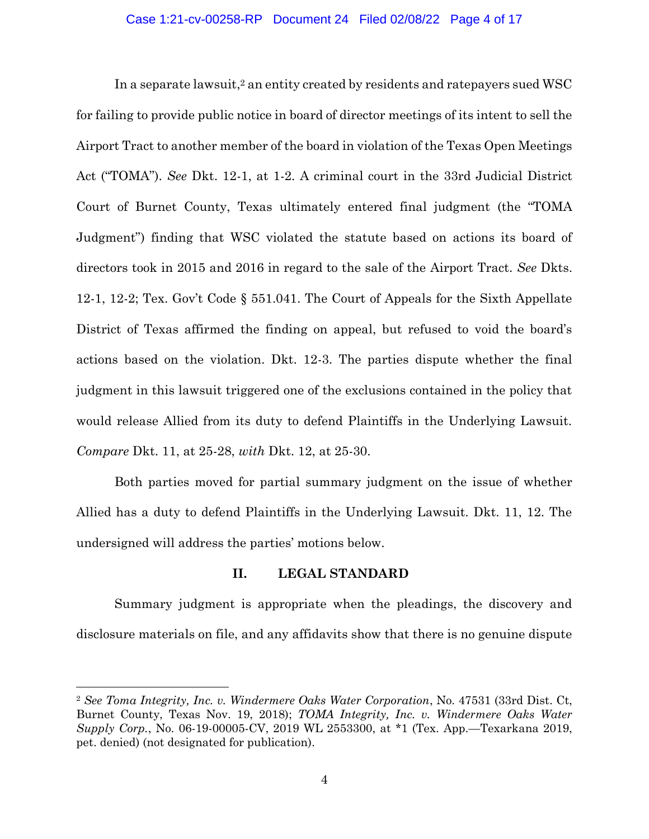## Case 1:21-cv-00258-RP Document 24 Filed 02/08/22 Page 4 of 17

In a separate lawsuit,<sup>2</sup> an entity created by residents and ratepayers sued WSC for failing to provide public notice in board of director meetings of its intent to sell the Airport Tract to another member of the board in violation of the Texas Open Meetings Act ("TOMA"). *See* Dkt. 12-1, at 1-2. A criminal court in the 33rd Judicial District Court of Burnet County, Texas ultimately entered final judgment (the "TOMA Judgment") finding that WSC violated the statute based on actions its board of directors took in 2015 and 2016 in regard to the sale of the Airport Tract. *See* Dkts. 12-1, 12-2; Tex. Gov't Code § 551.041. The Court of Appeals for the Sixth Appellate District of Texas affirmed the finding on appeal, but refused to void the board's actions based on the violation. Dkt. 12-3. The parties dispute whether the final judgment in this lawsuit triggered one of the exclusions contained in the policy that would release Allied from its duty to defend Plaintiffs in the Underlying Lawsuit. *Compare* Dkt. 11, at 25-28, *with* Dkt. 12, at 25-30.

Both parties moved for partial summary judgment on the issue of whether Allied has a duty to defend Plaintiffs in the Underlying Lawsuit. Dkt. 11, 12. The undersigned will address the parties' motions below.

## **II. LEGAL STANDARD**

Summary judgment is appropriate when the pleadings, the discovery and disclosure materials on file, and any affidavits show that there is no genuine dispute

<sup>2</sup> *See Toma Integrity, Inc. v. Windermere Oaks Water Corporation*, No. 47531 (33rd Dist. Ct, Burnet County, Texas Nov. 19, 2018); *TOMA Integrity, Inc. v. Windermere Oaks Water Supply Corp.*, No. 06-19-00005-CV, 2019 WL 2553300, at \*1 (Tex. App.—Texarkana 2019, pet. denied) (not designated for publication).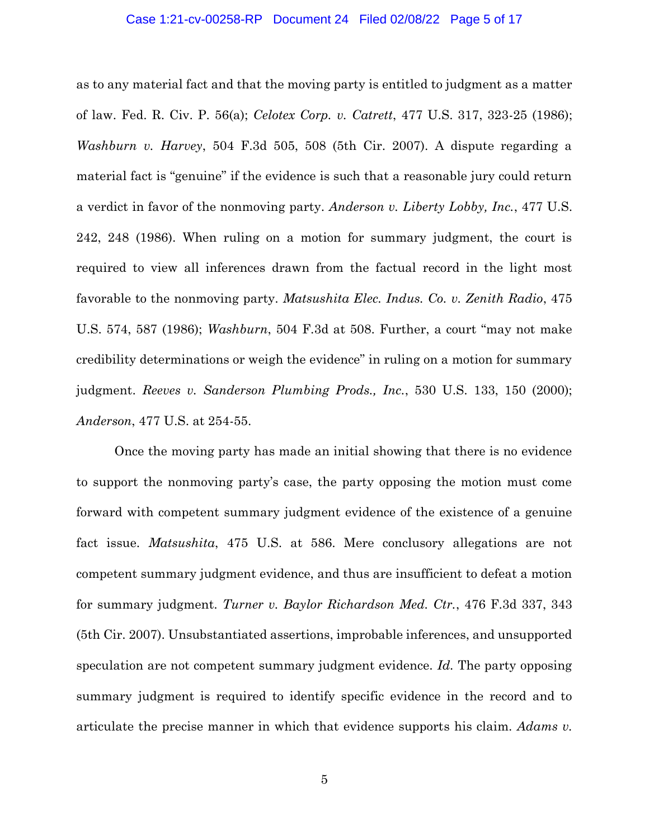### Case 1:21-cv-00258-RP Document 24 Filed 02/08/22 Page 5 of 17

as to any material fact and that the moving party is entitled to judgment as a matter of law. Fed. R. Civ. P. 56(a); *Celotex Corp. v. Catrett*, 477 U.S. 317, 323-25 (1986); *Washburn v. Harvey*, 504 F.3d 505, 508 (5th Cir. 2007). A dispute regarding a material fact is "genuine" if the evidence is such that a reasonable jury could return a verdict in favor of the nonmoving party. *Anderson v. Liberty Lobby, Inc.*, 477 U.S. 242, 248 (1986). When ruling on a motion for summary judgment, the court is required to view all inferences drawn from the factual record in the light most favorable to the nonmoving party. *Matsushita Elec. Indus. Co. v. Zenith Radio*, 475 U.S. 574, 587 (1986); *Washburn*, 504 F.3d at 508. Further, a court "may not make credibility determinations or weigh the evidence" in ruling on a motion for summary judgment. *Reeves v. Sanderson Plumbing Prods., Inc.*, 530 U.S. 133, 150 (2000); *Anderson*, 477 U.S. at 254-55.

Once the moving party has made an initial showing that there is no evidence to support the nonmoving party's case, the party opposing the motion must come forward with competent summary judgment evidence of the existence of a genuine fact issue. *Matsushita*, 475 U.S. at 586. Mere conclusory allegations are not competent summary judgment evidence, and thus are insufficient to defeat a motion for summary judgment. *Turner v. Baylor Richardson Med. Ctr.*, 476 F.3d 337, 343 (5th Cir. 2007). Unsubstantiated assertions, improbable inferences, and unsupported speculation are not competent summary judgment evidence. *Id.* The party opposing summary judgment is required to identify specific evidence in the record and to articulate the precise manner in which that evidence supports his claim. *Adams v.*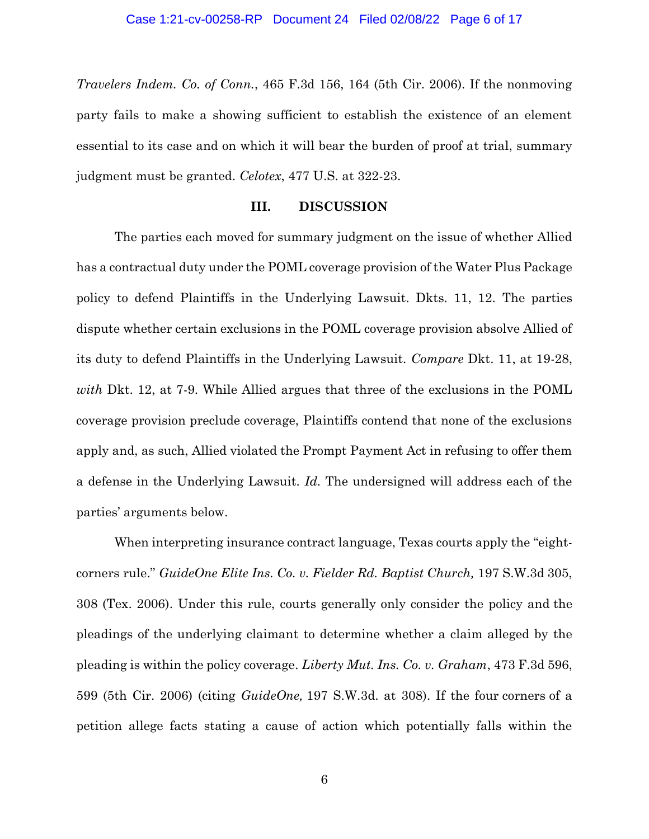*Travelers Indem. Co. of Conn.*, 465 F.3d 156, 164 (5th Cir. 2006). If the nonmoving party fails to make a showing sufficient to establish the existence of an element essential to its case and on which it will bear the burden of proof at trial, summary judgment must be granted. *Celotex*, 477 U.S. at 322-23.

#### **III. DISCUSSION**

The parties each moved for summary judgment on the issue of whether Allied has a contractual duty under the POML coverage provision of the Water Plus Package policy to defend Plaintiffs in the Underlying Lawsuit. Dkts. 11, 12. The parties dispute whether certain exclusions in the POML coverage provision absolve Allied of its duty to defend Plaintiffs in the Underlying Lawsuit. *Compare* Dkt. 11, at 19-28, *with* Dkt. 12, at 7-9. While Allied argues that three of the exclusions in the POML coverage provision preclude coverage, Plaintiffs contend that none of the exclusions apply and, as such, Allied violated the Prompt Payment Act in refusing to offer them a defense in the Underlying Lawsuit. *Id.* The undersigned will address each of the parties' arguments below.

When interpreting insurance contract language, Texas courts apply the "eightcorners rule." *GuideOne Elite Ins. Co. v. Fielder Rd. Baptist Church,* 197 S.W.3d 305, 308 (Tex. 2006). Under this rule, courts generally only consider the policy and the pleadings of the underlying claimant to determine whether a claim alleged by the pleading is within the policy coverage. *Liberty Mut. Ins. Co. v. Graham*, 473 F.3d 596, 599 (5th Cir. 2006) (citing *GuideOne,* 197 S.W.3d. at 308). If the four corners of a petition allege facts stating a cause of action which potentially falls within the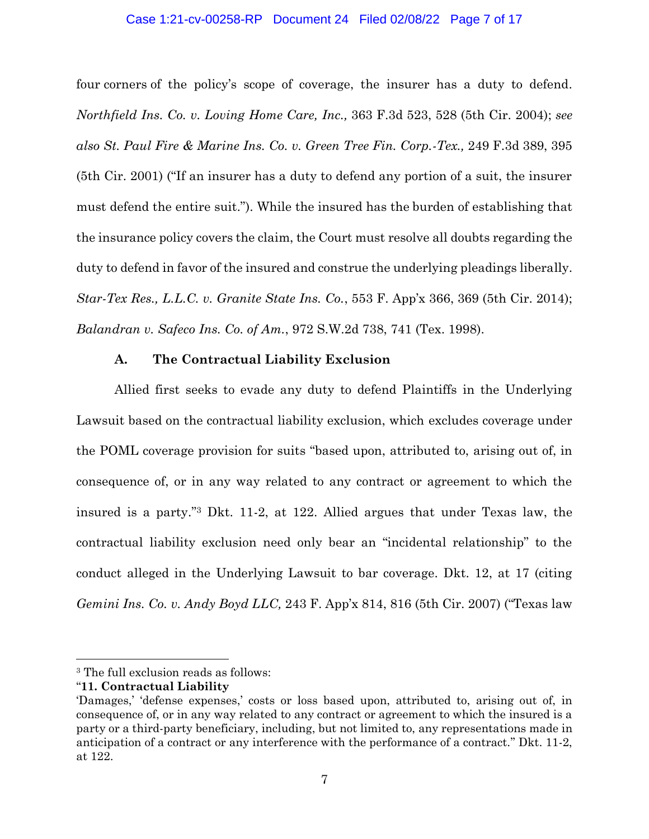## Case 1:21-cv-00258-RP Document 24 Filed 02/08/22 Page 7 of 17

four corners of the policy's scope of coverage, the insurer has a duty to defend. *Northfield Ins. Co. v. Loving Home Care, Inc.,* 363 F.3d 523, 528 (5th Cir. 2004); *see also St. Paul Fire & Marine Ins. Co. v. Green Tree Fin. Corp.-Tex.,* 249 F.3d 389, 395 (5th Cir. 2001) ("If an insurer has a duty to defend any portion of a suit, the insurer must defend the entire suit."). While the insured has the burden of establishing that the insurance policy covers the claim, the Court must resolve all doubts regarding the duty to defend in favor of the insured and construe the underlying pleadings liberally. *Star-Tex Res., L.L.C. v. Granite State Ins. Co.*, 553 F. App'x 366, 369 (5th Cir. 2014); *Balandran v. Safeco Ins. Co. of Am.*, 972 S.W.2d 738, 741 (Tex. 1998).

## **A. The Contractual Liability Exclusion**

Allied first seeks to evade any duty to defend Plaintiffs in the Underlying Lawsuit based on the contractual liability exclusion, which excludes coverage under the POML coverage provision for suits "based upon, attributed to, arising out of, in consequence of, or in any way related to any contract or agreement to which the insured is a party."<sup>3</sup> Dkt. 11-2, at 122. Allied argues that under Texas law, the contractual liability exclusion need only bear an "incidental relationship" to the conduct alleged in the Underlying Lawsuit to bar coverage. Dkt. 12, at 17 (citing *Gemini Ins. Co. v. Andy Boyd LLC,* 243 F. App'x 814, 816 (5th Cir. 2007) ("Texas law

<sup>3</sup> The full exclusion reads as follows:

<sup>&</sup>quot;**11. Contractual Liability**

<sup>&#</sup>x27;Damages,' 'defense expenses,' costs or loss based upon, attributed to, arising out of, in consequence of, or in any way related to any contract or agreement to which the insured is a party or a third-party beneficiary, including, but not limited to, any representations made in anticipation of a contract or any interference with the performance of a contract." Dkt. 11-2, at 122.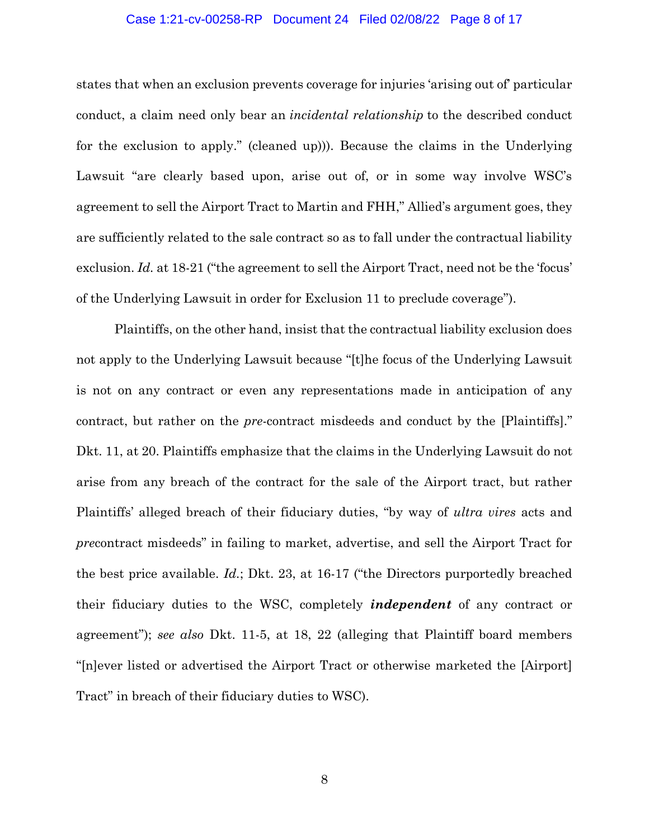## Case 1:21-cv-00258-RP Document 24 Filed 02/08/22 Page 8 of 17

states that when an exclusion prevents coverage for injuries 'arising out of' particular conduct, a claim need only bear an *incidental relationship* to the described conduct for the exclusion to apply." (cleaned up))). Because the claims in the Underlying Lawsuit "are clearly based upon, arise out of, or in some way involve WSC's agreement to sell the Airport Tract to Martin and FHH," Allied's argument goes, they are sufficiently related to the sale contract so as to fall under the contractual liability exclusion. *Id.* at 18-21 ("the agreement to sell the Airport Tract, need not be the 'focus' of the Underlying Lawsuit in order for Exclusion 11 to preclude coverage").

Plaintiffs, on the other hand, insist that the contractual liability exclusion does not apply to the Underlying Lawsuit because "[t]he focus of the Underlying Lawsuit is not on any contract or even any representations made in anticipation of any contract, but rather on the *pre*-contract misdeeds and conduct by the [Plaintiffs]." Dkt. 11, at 20. Plaintiffs emphasize that the claims in the Underlying Lawsuit do not arise from any breach of the contract for the sale of the Airport tract, but rather Plaintiffs' alleged breach of their fiduciary duties, "by way of *ultra vires* acts and *pre*contract misdeeds" in failing to market, advertise, and sell the Airport Tract for the best price available. *Id.*; Dkt. 23, at 16-17 ("the Directors purportedly breached their fiduciary duties to the WSC, completely *independent* of any contract or agreement"); *see also* Dkt. 11-5, at 18, 22 (alleging that Plaintiff board members "[n]ever listed or advertised the Airport Tract or otherwise marketed the [Airport] Tract" in breach of their fiduciary duties to WSC).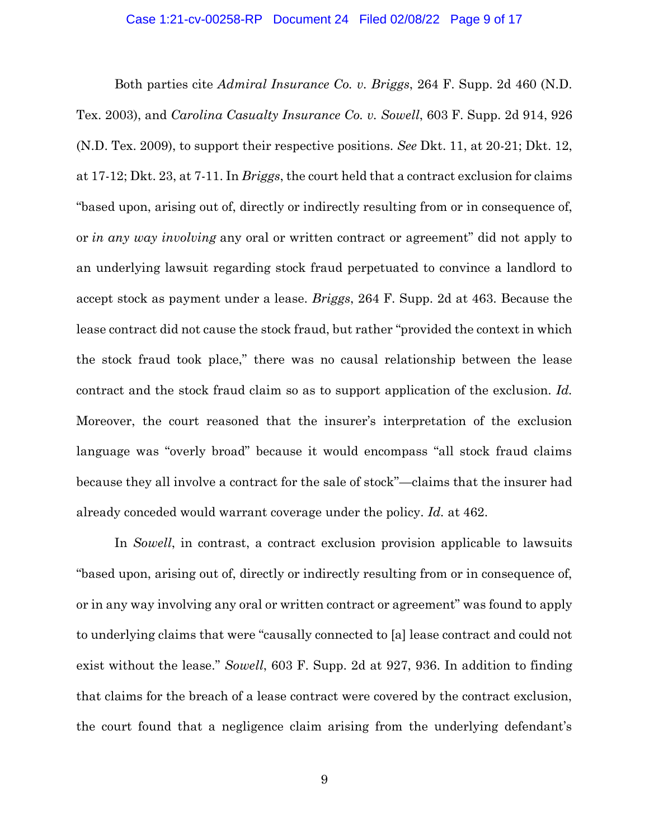### Case 1:21-cv-00258-RP Document 24 Filed 02/08/22 Page 9 of 17

Both parties cite *Admiral Insurance Co. v. Briggs*, 264 F. Supp. 2d 460 (N.D. Tex. 2003), and *Carolina Casualty Insurance Co. v. Sowell*, 603 F. Supp. 2d 914, 926 (N.D. Tex. 2009), to support their respective positions. *See* Dkt. 11, at 20-21; Dkt. 12, at 17-12; Dkt. 23, at 7-11. In *Briggs*, the court held that a contract exclusion for claims "based upon, arising out of, directly or indirectly resulting from or in consequence of, or *in any way involving* any oral or written contract or agreement" did not apply to an underlying lawsuit regarding stock fraud perpetuated to convince a landlord to accept stock as payment under a lease. *Briggs*, 264 F. Supp. 2d at 463. Because the lease contract did not cause the stock fraud, but rather "provided the context in which the stock fraud took place," there was no causal relationship between the lease contract and the stock fraud claim so as to support application of the exclusion. *Id.*  Moreover, the court reasoned that the insurer's interpretation of the exclusion language was "overly broad" because it would encompass "all stock fraud claims because they all involve a contract for the sale of stock"—claims that the insurer had already conceded would warrant coverage under the policy. *Id.* at 462.

In *Sowell*, in contrast, a contract exclusion provision applicable to lawsuits "based upon, arising out of, directly or indirectly resulting from or in consequence of, or in any way involving any oral or written contract or agreement" was found to apply to underlying claims that were "causally connected to [a] lease contract and could not exist without the lease." *Sowell*, 603 F. Supp. 2d at 927, 936. In addition to finding that claims for the breach of a lease contract were covered by the contract exclusion, the court found that a negligence claim arising from the underlying defendant's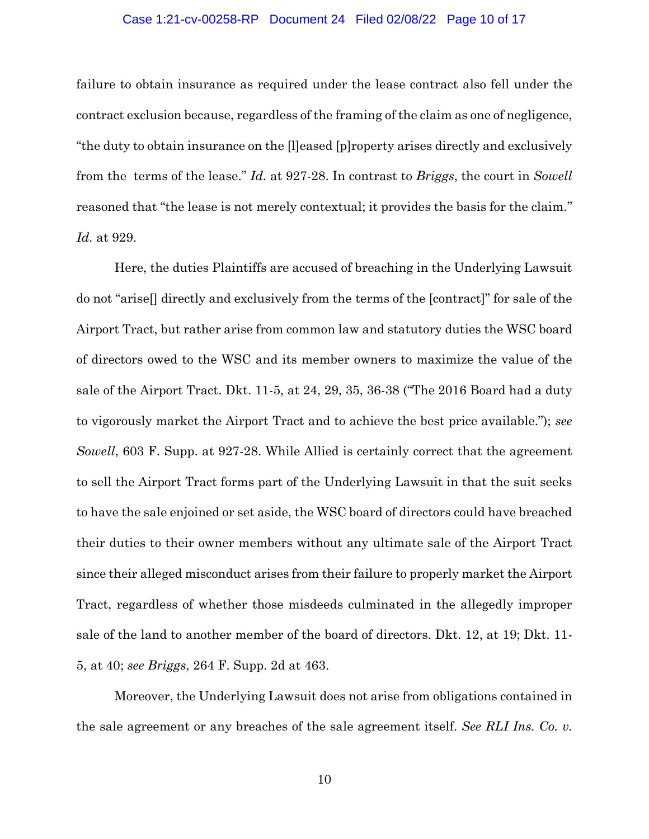#### Case 1:21-cv-00258-RP Document 24 Filed 02/08/22 Page 10 of 17

failure to obtain insurance as required under the lease contract also fell under the contract exclusion because, regardless of the framing of the claim as one of negligence, "the duty to obtain insurance on the [l]eased [p]roperty arises directly and exclusively from the terms of the lease." *Id.* at 927-28. In contrast to *Briggs*, the court in *Sowell*  reasoned that "the lease is not merely contextual; it provides the basis for the claim." *Id.* at 929.

Here, the duties Plaintiffs are accused of breaching in the Underlying Lawsuit do not "arise[] directly and exclusively from the terms of the [contract]" for sale of the Airport Tract, but rather arise from common law and statutory duties the WSC board of directors owed to the WSC and its member owners to maximize the value of the sale of the Airport Tract. Dkt. 11-5, at 24, 29, 35, 36-38 ("The 2016 Board had a duty to vigorously market the Airport Tract and to achieve the best price available."); *see Sowell*, 603 F. Supp. at 927-28. While Allied is certainly correct that the agreement to sell the Airport Tract forms part of the Underlying Lawsuit in that the suit seeks to have the sale enjoined or set aside, the WSC board of directors could have breached their duties to their owner members without any ultimate sale of the Airport Tract since their alleged misconduct arises from their failure to properly market the Airport Tract, regardless of whether those misdeeds culminated in the allegedly improper sale of the land to another member of the board of directors. Dkt. 12, at 19; Dkt. 11- 5, at 40; *see Briggs*, 264 F. Supp. 2d at 463.

Moreover, the Underlying Lawsuit does not arise from obligations contained in the sale agreement or any breaches of the sale agreement itself. *See RLI Ins. Co. v.*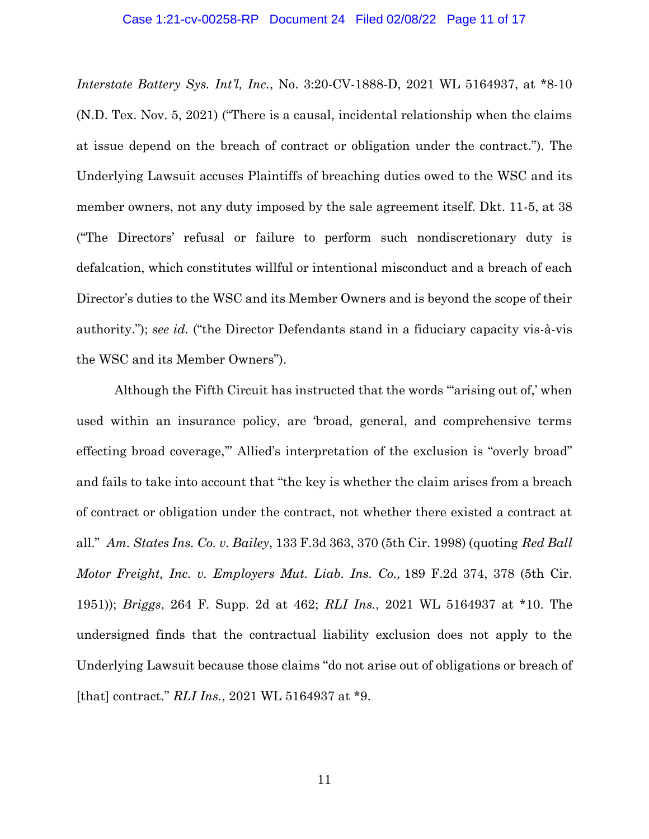#### Case 1:21-cv-00258-RP Document 24 Filed 02/08/22 Page 11 of 17

*Interstate Battery Sys. Int'l, Inc.*, No. 3:20-CV-1888-D, 2021 WL 5164937, at \*8-10 (N.D. Tex. Nov. 5, 2021) ("There is a causal, incidental relationship when the claims at issue depend on the breach of contract or obligation under the contract."). The Underlying Lawsuit accuses Plaintiffs of breaching duties owed to the WSC and its member owners, not any duty imposed by the sale agreement itself. Dkt. 11-5, at 38 ("The Directors' refusal or failure to perform such nondiscretionary duty is defalcation, which constitutes willful or intentional misconduct and a breach of each Director's duties to the WSC and its Member Owners and is beyond the scope of their authority."); *see id.* ("the Director Defendants stand in a fiduciary capacity vis-à-vis the WSC and its Member Owners").

Although the Fifth Circuit has instructed that the words "arising out of,' when used within an insurance policy, are 'broad, general, and comprehensive terms effecting broad coverage,'" Allied's interpretation of the exclusion is "overly broad" and fails to take into account that "the key is whether the claim arises from a breach of contract or obligation under the contract, not whether there existed a contract at all." *Am. States Ins. Co. v. Bailey*, 133 F.3d 363, 370 (5th Cir. 1998) (quoting *Red Ball Motor Freight, Inc. v. Employers Mut. Liab. Ins. Co.,* 189 F.2d 374, 378 (5th Cir. 1951)); *Briggs*, 264 F. Supp. 2d at 462; *RLI Ins.*, 2021 WL 5164937 at \*10. The undersigned finds that the contractual liability exclusion does not apply to the Underlying Lawsuit because those claims "do not arise out of obligations or breach of [that] contract." *RLI Ins.*, 2021 WL 5164937 at \*9.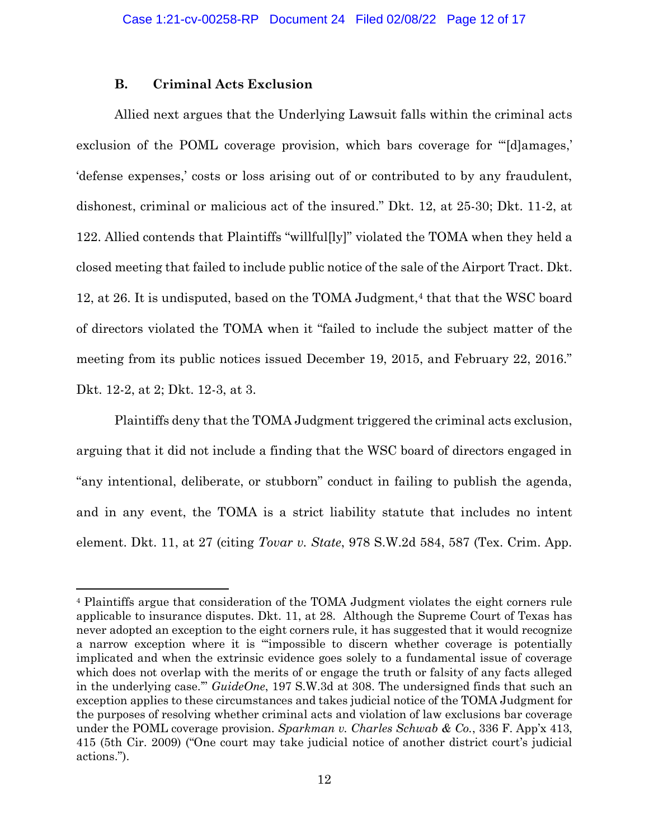## **B. Criminal Acts Exclusion**

Allied next argues that the Underlying Lawsuit falls within the criminal acts exclusion of the POML coverage provision, which bars coverage for "'[d]amages,' 'defense expenses,' costs or loss arising out of or contributed to by any fraudulent, dishonest, criminal or malicious act of the insured." Dkt. 12, at 25-30; Dkt. 11-2, at 122. Allied contends that Plaintiffs "willful[ly]" violated the TOMA when they held a closed meeting that failed to include public notice of the sale of the Airport Tract. Dkt. 12, at 26. It is undisputed, based on the TOMA Judgment,<sup>4</sup> that that the WSC board of directors violated the TOMA when it "failed to include the subject matter of the meeting from its public notices issued December 19, 2015, and February 22, 2016." Dkt. 12-2, at 2; Dkt. 12-3, at 3.

Plaintiffs deny that the TOMA Judgment triggered the criminal acts exclusion, arguing that it did not include a finding that the WSC board of directors engaged in "any intentional, deliberate, or stubborn" conduct in failing to publish the agenda, and in any event, the TOMA is a strict liability statute that includes no intent element. Dkt. 11, at 27 (citing *Tovar v. State*, 978 S.W.2d 584, 587 (Tex. Crim. App.

<sup>4</sup> Plaintiffs argue that consideration of the TOMA Judgment violates the eight corners rule applicable to insurance disputes. Dkt. 11, at 28. Although the Supreme Court of Texas has never adopted an exception to the eight corners rule, it has suggested that it would recognize a narrow exception where it is "'impossible to discern whether coverage is potentially implicated and when the extrinsic evidence goes solely to a fundamental issue of coverage which does not overlap with the merits of or engage the truth or falsity of any facts alleged in the underlying case.'" *GuideOne*, 197 S.W.3d at 308. The undersigned finds that such an exception applies to these circumstances and takes judicial notice of the TOMA Judgment for the purposes of resolving whether criminal acts and violation of law exclusions bar coverage under the POML coverage provision. *Sparkman v. Charles Schwab & Co.*, 336 F. App'x 413, 415 (5th Cir. 2009) ("One court may take judicial notice of another district court's judicial actions.").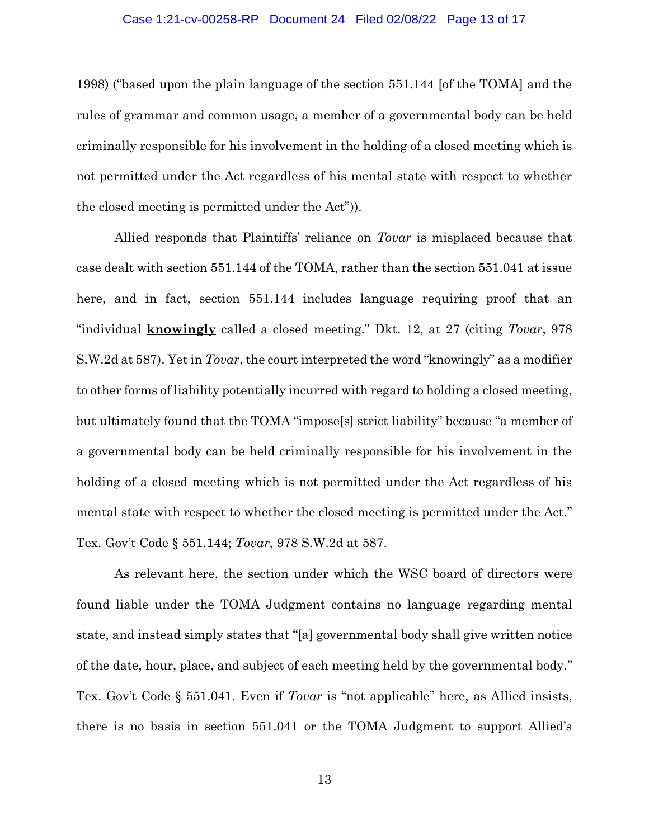#### Case 1:21-cv-00258-RP Document 24 Filed 02/08/22 Page 13 of 17

1998) ("based upon the plain language of the section 551.144 [of the TOMA] and the rules of grammar and common usage, a member of a governmental body can be held criminally responsible for his involvement in the holding of a closed meeting which is not permitted under the Act regardless of his mental state with respect to whether the closed meeting is permitted under the Act")).

Allied responds that Plaintiffs' reliance on *Tovar* is misplaced because that case dealt with section 551.144 of the TOMA, rather than the section 551.041 at issue here, and in fact, section 551.144 includes language requiring proof that an "individual **knowingly** called a closed meeting." Dkt. 12, at 27 (citing *Tovar*, 978 S.W.2d at 587). Yet in *Tovar*, the court interpreted the word "knowingly" as a modifier to other forms of liability potentially incurred with regard to holding a closed meeting, but ultimately found that the TOMA "impose[s] strict liability" because "a member of a governmental body can be held criminally responsible for his involvement in the holding of a closed meeting which is not permitted under the Act regardless of his mental state with respect to whether the closed meeting is permitted under the Act." Tex. Gov't Code § 551.144; *Tovar*, 978 S.W.2d at 587.

As relevant here, the section under which the WSC board of directors were found liable under the TOMA Judgment contains no language regarding mental state, and instead simply states that "[a] governmental body shall give written notice of the date, hour, place, and subject of each meeting held by the governmental body." Tex. Gov't Code § 551.041. Even if *Tovar* is "not applicable" here, as Allied insists, there is no basis in section 551.041 or the TOMA Judgment to support Allied's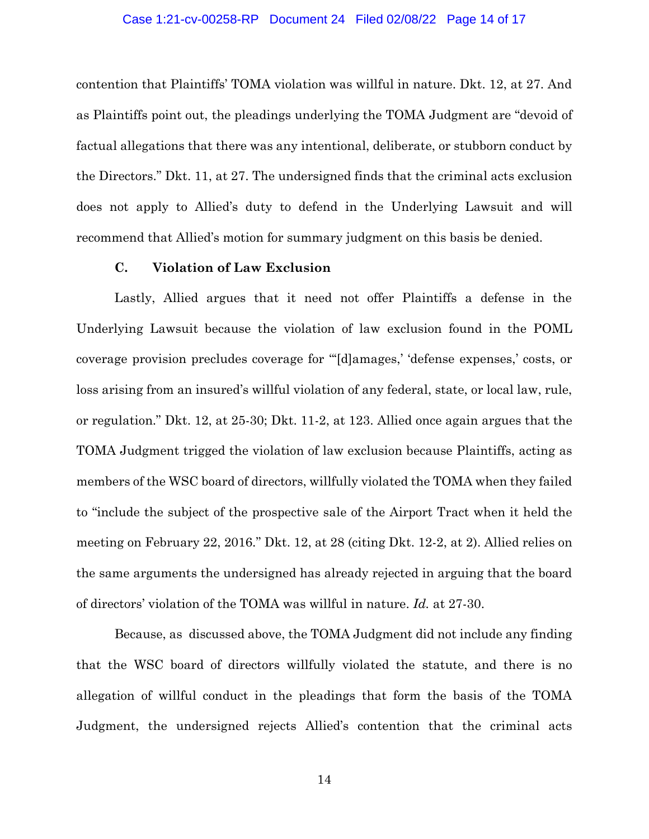#### Case 1:21-cv-00258-RP Document 24 Filed 02/08/22 Page 14 of 17

contention that Plaintiffs' TOMA violation was willful in nature. Dkt. 12, at 27. And as Plaintiffs point out, the pleadings underlying the TOMA Judgment are "devoid of factual allegations that there was any intentional, deliberate, or stubborn conduct by the Directors." Dkt. 11, at 27. The undersigned finds that the criminal acts exclusion does not apply to Allied's duty to defend in the Underlying Lawsuit and will recommend that Allied's motion for summary judgment on this basis be denied.

# **C. Violation of Law Exclusion**

Lastly, Allied argues that it need not offer Plaintiffs a defense in the Underlying Lawsuit because the violation of law exclusion found in the POML coverage provision precludes coverage for "'[d]amages,' 'defense expenses,' costs, or loss arising from an insured's willful violation of any federal, state, or local law, rule, or regulation." Dkt. 12, at 25-30; Dkt. 11-2, at 123. Allied once again argues that the TOMA Judgment trigged the violation of law exclusion because Plaintiffs, acting as members of the WSC board of directors, willfully violated the TOMA when they failed to "include the subject of the prospective sale of the Airport Tract when it held the meeting on February 22, 2016." Dkt. 12, at 28 (citing Dkt. 12-2, at 2). Allied relies on the same arguments the undersigned has already rejected in arguing that the board of directors' violation of the TOMA was willful in nature. *Id.* at 27-30.

Because, as discussed above, the TOMA Judgment did not include any finding that the WSC board of directors willfully violated the statute, and there is no allegation of willful conduct in the pleadings that form the basis of the TOMA Judgment, the undersigned rejects Allied's contention that the criminal acts

14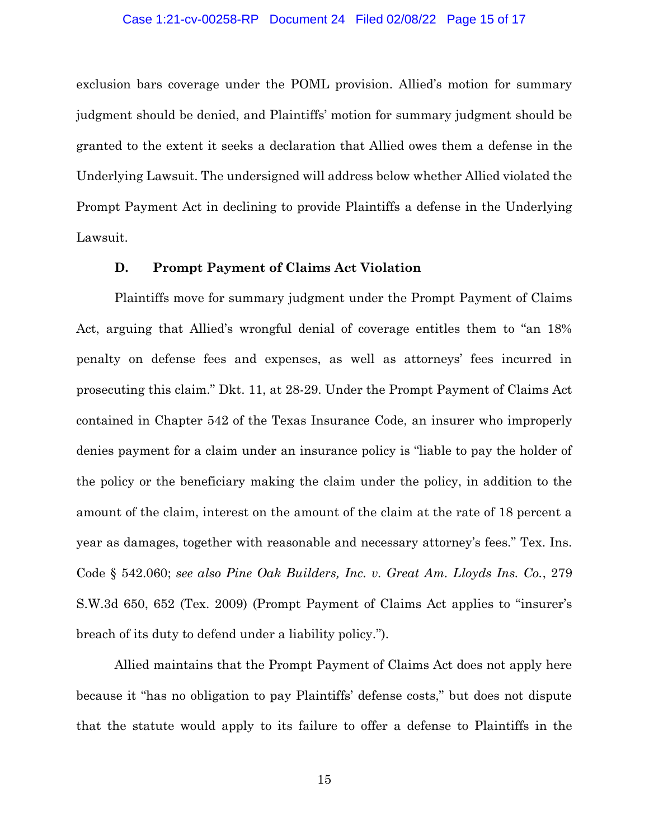#### Case 1:21-cv-00258-RP Document 24 Filed 02/08/22 Page 15 of 17

exclusion bars coverage under the POML provision. Allied's motion for summary judgment should be denied, and Plaintiffs' motion for summary judgment should be granted to the extent it seeks a declaration that Allied owes them a defense in the Underlying Lawsuit. The undersigned will address below whether Allied violated the Prompt Payment Act in declining to provide Plaintiffs a defense in the Underlying Lawsuit.

## **D. Prompt Payment of Claims Act Violation**

Plaintiffs move for summary judgment under the Prompt Payment of Claims Act, arguing that Allied's wrongful denial of coverage entitles them to "an 18% penalty on defense fees and expenses, as well as attorneys' fees incurred in prosecuting this claim." Dkt. 11, at 28-29. Under the Prompt Payment of Claims Act contained in Chapter 542 of the Texas Insurance Code, an insurer who improperly denies payment for a claim under an insurance policy is "liable to pay the holder of the policy or the beneficiary making the claim under the policy, in addition to the amount of the claim, interest on the amount of the claim at the rate of 18 percent a year as damages, together with reasonable and necessary attorney's fees." Tex. Ins. Code § 542.060; *see also Pine Oak Builders, Inc. v. Great Am. Lloyds Ins. Co.*, 279 S.W.3d 650, 652 (Tex. 2009) (Prompt Payment of Claims Act applies to "insurer's breach of its duty to defend under a liability policy.").

Allied maintains that the Prompt Payment of Claims Act does not apply here because it "has no obligation to pay Plaintiffs' defense costs," but does not dispute that the statute would apply to its failure to offer a defense to Plaintiffs in the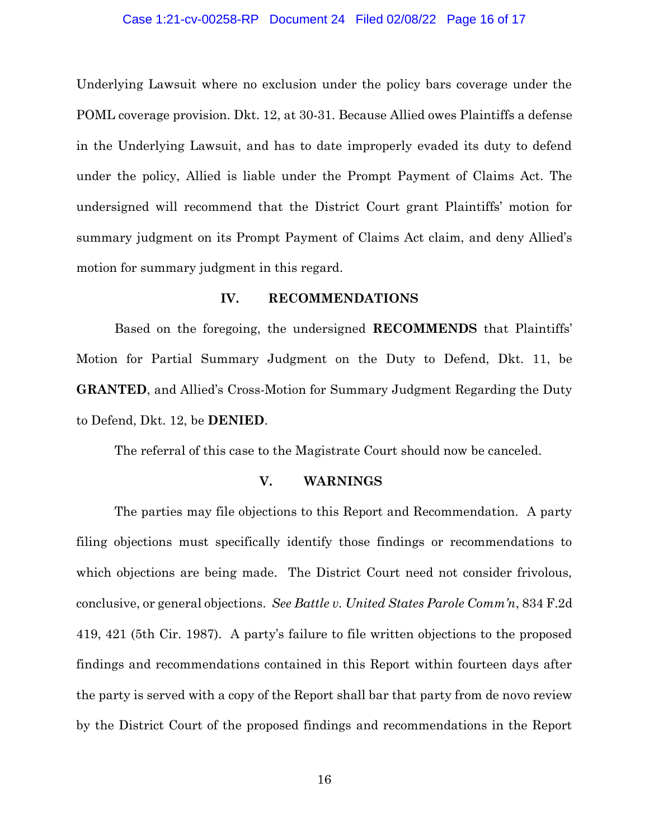#### Case 1:21-cv-00258-RP Document 24 Filed 02/08/22 Page 16 of 17

Underlying Lawsuit where no exclusion under the policy bars coverage under the POML coverage provision. Dkt. 12, at 30-31. Because Allied owes Plaintiffs a defense in the Underlying Lawsuit, and has to date improperly evaded its duty to defend under the policy, Allied is liable under the Prompt Payment of Claims Act. The undersigned will recommend that the District Court grant Plaintiffs' motion for summary judgment on its Prompt Payment of Claims Act claim, and deny Allied's motion for summary judgment in this regard.

## **IV. RECOMMENDATIONS**

Based on the foregoing, the undersigned **RECOMMENDS** that Plaintiffs' Motion for Partial Summary Judgment on the Duty to Defend, Dkt. 11, be **GRANTED**, and Allied's Cross-Motion for Summary Judgment Regarding the Duty to Defend, Dkt. 12, be **DENIED**.

The referral of this case to the Magistrate Court should now be canceled.

## **V. WARNINGS**

The parties may file objections to this Report and Recommendation. A party filing objections must specifically identify those findings or recommendations to which objections are being made. The District Court need not consider frivolous, conclusive, or general objections. *See Battle v. United States Parole Comm'n*, 834 F.2d 419, 421 (5th Cir. 1987). A party's failure to file written objections to the proposed findings and recommendations contained in this Report within fourteen days after the party is served with a copy of the Report shall bar that party from de novo review by the District Court of the proposed findings and recommendations in the Report